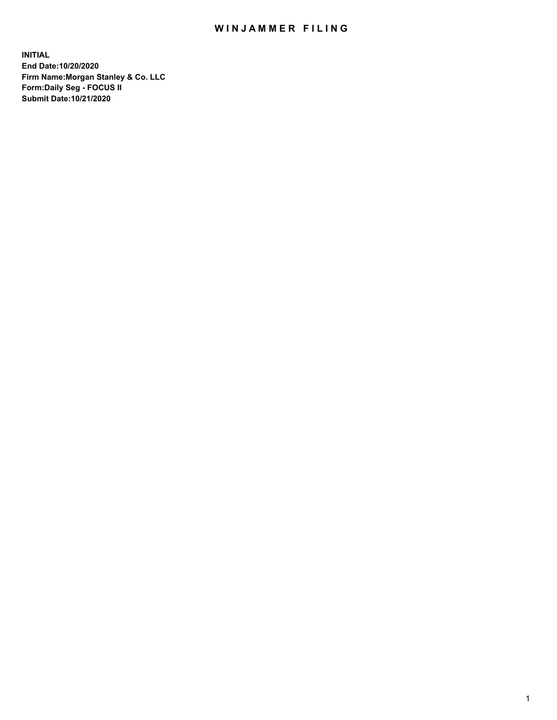## WIN JAMMER FILING

**INITIAL End Date:10/20/2020 Firm Name:Morgan Stanley & Co. LLC Form:Daily Seg - FOCUS II Submit Date:10/21/2020**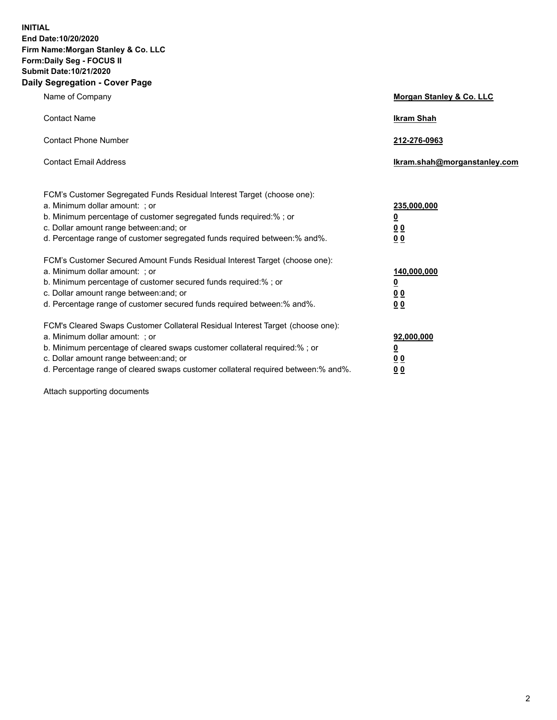**INITIAL End Date:10/20/2020 Firm Name:Morgan Stanley & Co. LLC Form:Daily Seg - FOCUS II Submit Date:10/21/2020 Daily Segregation - Cover Page**

| Name of Company                                                                                                                                                                                                                                                                                                               | Morgan Stanley & Co. LLC                               |
|-------------------------------------------------------------------------------------------------------------------------------------------------------------------------------------------------------------------------------------------------------------------------------------------------------------------------------|--------------------------------------------------------|
| <b>Contact Name</b>                                                                                                                                                                                                                                                                                                           | <b>Ikram Shah</b>                                      |
| <b>Contact Phone Number</b>                                                                                                                                                                                                                                                                                                   | 212-276-0963                                           |
| <b>Contact Email Address</b>                                                                                                                                                                                                                                                                                                  | Ikram.shah@morganstanley.com                           |
| FCM's Customer Segregated Funds Residual Interest Target (choose one):<br>a. Minimum dollar amount: ; or<br>b. Minimum percentage of customer segregated funds required:% ; or<br>c. Dollar amount range between: and; or<br>d. Percentage range of customer segregated funds required between:% and%.                        | 235,000,000<br><u>0</u><br><u>00</u><br>0 <sup>0</sup> |
| FCM's Customer Secured Amount Funds Residual Interest Target (choose one):<br>a. Minimum dollar amount: ; or<br>b. Minimum percentage of customer secured funds required:%; or<br>c. Dollar amount range between: and; or<br>d. Percentage range of customer secured funds required between:% and%.                           | 140,000,000<br><u>0</u><br><u>00</u><br>0 <sub>0</sub> |
| FCM's Cleared Swaps Customer Collateral Residual Interest Target (choose one):<br>a. Minimum dollar amount: ; or<br>b. Minimum percentage of cleared swaps customer collateral required:%; or<br>c. Dollar amount range between: and; or<br>d. Percentage range of cleared swaps customer collateral required between:% and%. | 92,000,000<br><u>0</u><br>0 Q<br>00                    |

Attach supporting documents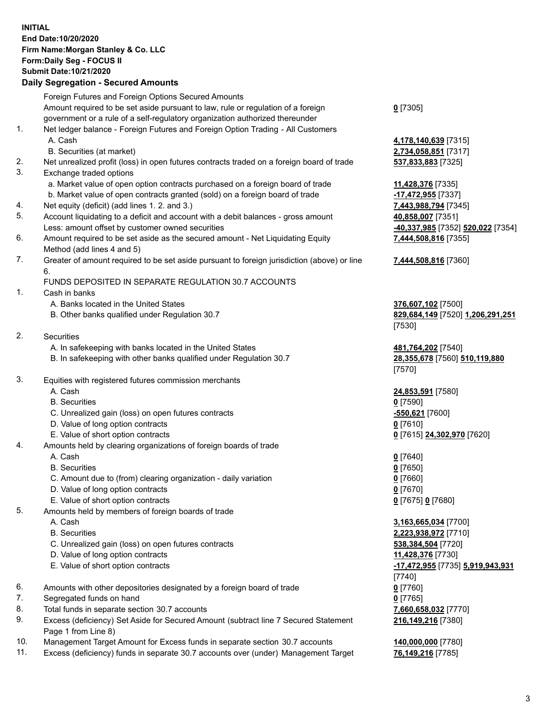## **INITIAL End Date:10/20/2020 Firm Name:Morgan Stanley & Co. LLC Form:Daily Seg - FOCUS II Submit Date:10/21/2020**

## **Daily Segregation - Secured Amounts**

Foreign Futures and Foreign Options Secured Amounts Amount required to be set aside pursuant to law, rule or regulation of a foreign government or a rule of a self-regulatory organization authorized thereunder 1. Net ledger balance - Foreign Futures and Foreign Option Trading - All Customers A. Cash **4,178,140,639** [7315] B. Securities (at market) **2,734,058,851** [7317] 2. Net unrealized profit (loss) in open futures contracts traded on a foreign board of trade **537,833,883** [7325] 3. Exchange traded options a. Market value of open option contracts purchased on a foreign board of trade **11,428,376** [7335] b. Market value of open contracts granted (sold) on a foreign board of trade **-17,472,955** [7337] 4. Net equity (deficit) (add lines 1. 2. and 3.) **7,443,988,794** [7345] 5. Account liquidating to a deficit and account with a debit balances - gross amount **40,858,007** [7351] Less: amount offset by customer owned securities **-40,337,985** [7352] **520,022** [7354] 6. Amount required to be set aside as the secured amount - Net Liquidating Equity Method (add lines 4 and 5) 7. Greater of amount required to be set aside pursuant to foreign jurisdiction (above) or line 6. FUNDS DEPOSITED IN SEPARATE REGULATION 30.7 ACCOUNTS 1. Cash in banks A. Banks located in the United States **376,607,102** [7500] B. Other banks qualified under Regulation 30.7 **829,684,149** [7520] **1,206,291,251** 2. Securities A. In safekeeping with banks located in the United States **481,764,202** [7540] B. In safekeeping with other banks qualified under Regulation 30.7 **28,355,678** [7560] **510,119,880** 3. Equities with registered futures commission merchants A. Cash **24,853,591** [7580] B. Securities **0** [7590] C. Unrealized gain (loss) on open futures contracts **-550,621** [7600] D. Value of long option contracts **0** [7610] E. Value of short option contracts **0** [7615] **24,302,970** [7620] 4. Amounts held by clearing organizations of foreign boards of trade A. Cash **0** [7640] B. Securities **0** [7650] C. Amount due to (from) clearing organization - daily variation **0** [7660] D. Value of long option contracts **0** [7670] E. Value of short option contracts **0** [7675] **0** [7680] 5. Amounts held by members of foreign boards of trade A. Cash **3,163,665,034** [7700] B. Securities **2,223,938,972** [7710] C. Unrealized gain (loss) on open futures contracts **538,384,504** [7720] D. Value of long option contracts **11,428,376** [7730] E. Value of short option contracts **-17,472,955** [7735] **5,919,943,931** 6. Amounts with other depositories designated by a foreign board of trade **0** [7760] 7. Segregated funds on hand **0** [7765] 8. Total funds in separate section 30.7 accounts **7,660,658,032** [7770] 9. Excess (deficiency) Set Aside for Secured Amount (subtract line 7 Secured Statement Page 1 from Line 8)

- 10. Management Target Amount for Excess funds in separate section 30.7 accounts **140,000,000** [7780]
- 11. Excess (deficiency) funds in separate 30.7 accounts over (under) Management Target **76,149,216** [7785]

**0** [7305]

**7,444,508,816** [7355]

## **7,444,508,816** [7360]

[7530]

[7570]

[7740] **216,149,216** [7380]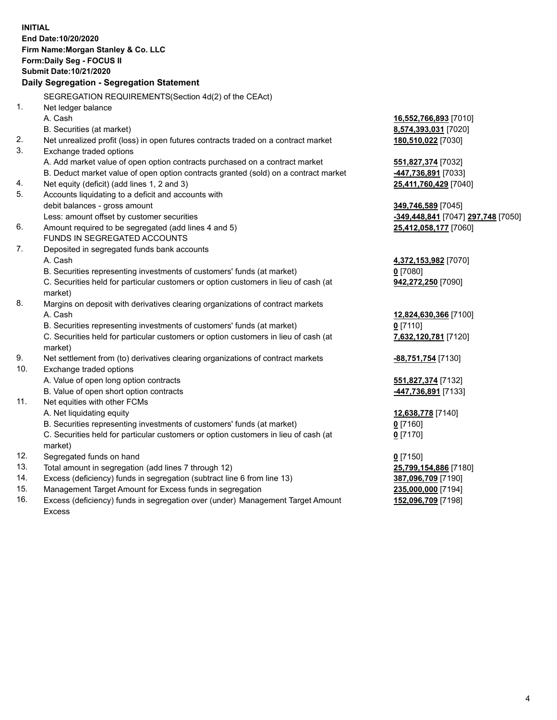|                | <b>INITIAL</b><br>End Date:10/20/2020<br>Firm Name: Morgan Stanley & Co. LLC<br>Form: Daily Seg - FOCUS II<br>Submit Date: 10/21/2020<br>Daily Segregation - Segregation Statement |                                    |
|----------------|------------------------------------------------------------------------------------------------------------------------------------------------------------------------------------|------------------------------------|
|                | SEGREGATION REQUIREMENTS(Section 4d(2) of the CEAct)                                                                                                                               |                                    |
| 1 <sub>1</sub> | Net ledger balance                                                                                                                                                                 |                                    |
|                | A. Cash                                                                                                                                                                            | 16,552,766,893 [7010]              |
|                | B. Securities (at market)                                                                                                                                                          | 8,574,393,031 [7020]               |
| 2.             | Net unrealized profit (loss) in open futures contracts traded on a contract market                                                                                                 | 180,510,022 [7030]                 |
| 3.             | Exchange traded options                                                                                                                                                            |                                    |
|                | A. Add market value of open option contracts purchased on a contract market                                                                                                        | 551,827,374 [7032]                 |
|                | B. Deduct market value of open option contracts granted (sold) on a contract market                                                                                                | -447,736,891 [7033]                |
| 4.             | Net equity (deficit) (add lines 1, 2 and 3)                                                                                                                                        | 25,411,760,429 [7040]              |
| 5.             | Accounts liquidating to a deficit and accounts with                                                                                                                                |                                    |
|                | debit balances - gross amount                                                                                                                                                      | 349,746,589 [7045]                 |
|                | Less: amount offset by customer securities                                                                                                                                         | -349,448,841 [7047] 297,748 [7050] |
| 6.             | Amount required to be segregated (add lines 4 and 5)                                                                                                                               | 25,412,058,177 [7060]              |
|                | FUNDS IN SEGREGATED ACCOUNTS                                                                                                                                                       |                                    |
| 7.             | Deposited in segregated funds bank accounts                                                                                                                                        |                                    |
|                | A. Cash                                                                                                                                                                            | 4,372,153,982 [7070]               |
|                | B. Securities representing investments of customers' funds (at market)                                                                                                             | $0$ [7080]                         |
|                | C. Securities held for particular customers or option customers in lieu of cash (at                                                                                                | 942,272,250 [7090]                 |
|                | market)                                                                                                                                                                            |                                    |
| 8.             | Margins on deposit with derivatives clearing organizations of contract markets                                                                                                     |                                    |
|                | A. Cash                                                                                                                                                                            | 12,824,630,366 [7100]              |
|                | B. Securities representing investments of customers' funds (at market)                                                                                                             | $0$ [7110]                         |
|                | C. Securities held for particular customers or option customers in lieu of cash (at<br>market)                                                                                     | 7,632,120,781 [7120]               |
| 9.             | Net settlement from (to) derivatives clearing organizations of contract markets                                                                                                    | -88,751,754 [7130]                 |
| 10.            | Exchange traded options                                                                                                                                                            |                                    |
|                | A. Value of open long option contracts                                                                                                                                             | 551,827,374 [7132]                 |
|                | B. Value of open short option contracts                                                                                                                                            | <u>-447,736,891</u> [7133]         |
| 11.            | Net equities with other FCMs                                                                                                                                                       |                                    |
|                | A. Net liquidating equity                                                                                                                                                          | 12,638,778 [7140]                  |
|                | B. Securities representing investments of customers' funds (at market)                                                                                                             | $0$ [7160]                         |
|                | C. Securities held for particular customers or option customers in lieu of cash (at<br>market)                                                                                     | $0$ [7170]                         |
| 12.            | Segregated funds on hand                                                                                                                                                           | $0$ [7150]                         |
| 13.            | Total amount in segregation (add lines 7 through 12)                                                                                                                               | 25,799,154,886 [7180]              |
| 14.            | Excess (deficiency) funds in segregation (subtract line 6 from line 13)                                                                                                            | 387,096,709 [7190]                 |
| 15.            | Management Target Amount for Excess funds in segregation                                                                                                                           | 235,000,000 [7194]                 |
| 16.            | Excess (deficiency) funds in segregation over (under) Management Target Amount                                                                                                     | 152,096,709 [7198]                 |

Excess